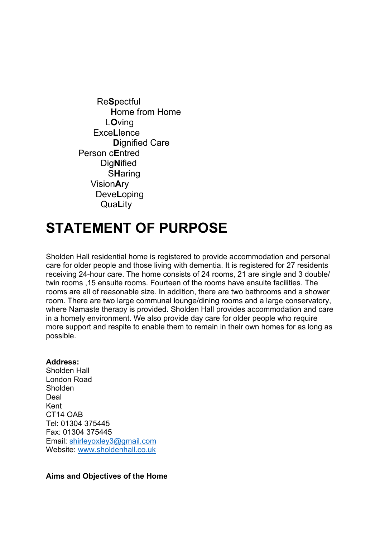Re**S**pectful **H**ome from Home L**O**ving Exce**L**lence  **D**ignified Care Person c**E**ntred Dig**N**ified S**H**aring Vision**A**ry Deve**L**oping Qua**L**ity

# **STATEMENT OF PURPOSE**

Sholden Hall residential home is registered to provide accommodation and personal care for older people and those living with dementia. It is registered for 27 residents receiving 24-hour care. The home consists of 24 rooms, 21 are single and 3 double/ twin rooms ,15 ensuite rooms. Fourteen of the rooms have ensuite facilities. The rooms are all of reasonable size. In addition, there are two bathrooms and a shower room. There are two large communal lounge/dining rooms and a large conservatory, where Namaste therapy is provided. Sholden Hall provides accommodation and care in a homely environment. We also provide day care for older people who require more support and respite to enable them to remain in their own homes for as long as possible.

#### **Address:**

Sholden Hall London Road Sholden Deal Kent CT14 OAB Tel: 01304 375445 Fax: 01304 375445 Email: [shirleyoxley3@gmail.com](mailto:shirleyoxley3@gmail.com)  Website: [www.sholdenhall.co.uk](http://www.sholdenhall.co.uk/)

#### **Aims and Objectives of the Home**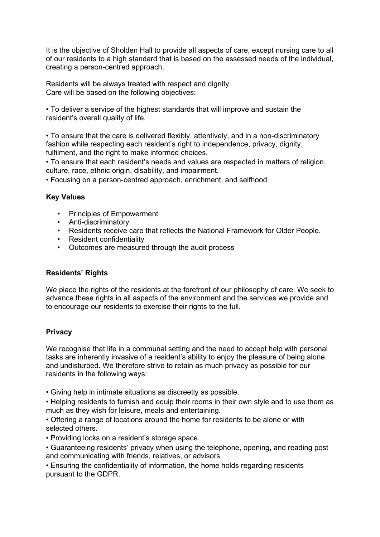It is the objective of Sholden Hall to provide all aspects of care, except nursing care to all of our residents to a high standard that is based on the assessed needs of the individual, creating a person-centred approach.

Residents will be always treated with respect and dignity. Care will be based on the following objectives:

• To deliver a service of the highest standards that will improve and sustain the resident's overall quality of life.

• To ensure that the care is delivered flexibly, attentively, and in a non-discriminatory fashion while respecting each resident's right to independence, privacy, dignity, fulfilment, and the right to make informed choices.

• To ensure that each resident's needs and values are respected in matters of religion, culture, race, ethnic origin, disability, and impairment.

• Focusing on a person-centred approach, enrichment, and selfhood

## **Key Values**

- Principles of Empowerment
- Anti-discriminatory
- Residents receive care that reflects the National Framework for Older People.
- Resident confidentiality
- Outcomes are measured through the audit process

## **Residents' Rights**

We place the rights of the residents at the forefront of our philosophy of care. We seek to advance these rights in all aspects of the environment and the services we provide and to encourage our residents to exercise their rights to the full.

## **Privacy**

We recognise that life in a communal setting and the need to accept help with personal tasks are inherently invasive of a resident's ability to enjoy the pleasure of being alone and undisturbed. We therefore strive to retain as much privacy as possible for our residents in the following ways:

• Giving help in intimate situations as discreetly as possible.

• Helping residents to furnish and equip their rooms in their own style and to use them as much as they wish for leisure, meals and entertaining.

• Offering a range of locations around the home for residents to be alone or with selected others.

• Providing locks on a resident's storage space.

• Guaranteeing residents' privacy when using the telephone, opening, and reading post and communicating with friends, relatives, or advisors.

• Ensuring the confidentiality of information, the home holds regarding residents pursuant to the GDPR.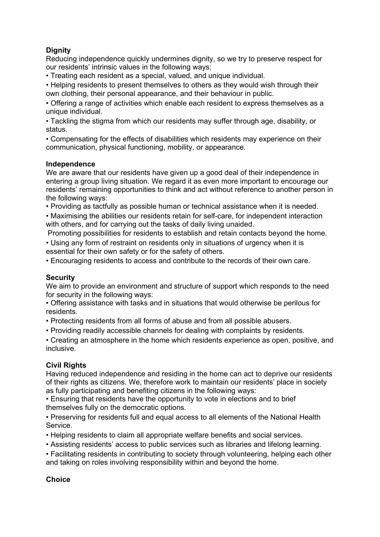# **Dignity**

Reducing independence quickly undermines dignity, so we try to preserve respect for our residents' intrinsic values in the following ways:

• Treating each resident as a special, valued, and unique individual.

• Helping residents to present themselves to others as they would wish through their own clothing, their personal appearance, and their behaviour in public.

• Offering a range of activities which enable each resident to express themselves as a unique individual.

• Tackling the stigma from which our residents may suffer through age, disability, or status.

• Compensating for the effects of disabilities which residents may experience on their communication, physical functioning, mobility, or appearance.

## **Independence**

We are aware that our residents have given up a good deal of their independence in entering a group living situation. We regard it as even more important to encourage our residents' remaining opportunities to think and act without reference to another person in the following ways:

• Providing as tactfully as possible human or technical assistance when it is needed.

• Maximising the abilities our residents retain for self-care, for independent interaction with others, and for carrying out the tasks of daily living unaided.

Promoting possibilities for residents to establish and retain contacts beyond the home.

• Using any form of restraint on residents only in situations of urgency when it is essential for their own safety or for the safety of others.

• Encouraging residents to access and contribute to the records of their own care.

## **Security**

We aim to provide an environment and structure of support which responds to the need for security in the following ways:

• Offering assistance with tasks and in situations that would otherwise be perilous for residents.

• Protecting residents from all forms of abuse and from all possible abusers.

• Providing readily accessible channels for dealing with complaints by residents.

• Creating an atmosphere in the home which residents experience as open, positive, and inclusive.

## **Civil Rights**

Having reduced independence and residing in the home can act to deprive our residents of their rights as citizens. We, therefore work to maintain our residents' place in society as fully participating and benefiting citizens in the following ways:

• Ensuring that residents have the opportunity to vote in elections and to brief themselves fully on the democratic options.

• Preserving for residents full and equal access to all elements of the National Health Service.

• Helping residents to claim all appropriate welfare benefits and social services.

• Assisting residents' access to public services such as libraries and lifelong learning.

• Facilitating residents in contributing to society through volunteering, helping each other and taking on roles involving responsibility within and beyond the home.

## **Choice**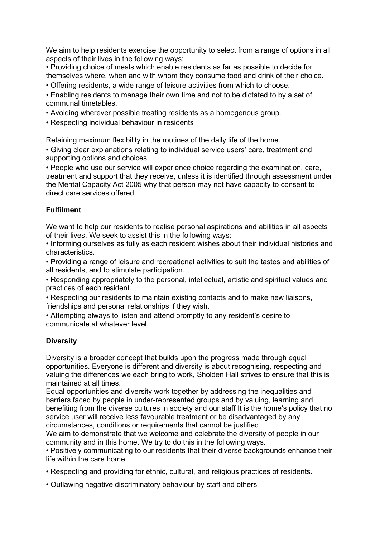We aim to help residents exercise the opportunity to select from a range of options in all aspects of their lives in the following ways:

• Providing choice of meals which enable residents as far as possible to decide for themselves where, when and with whom they consume food and drink of their choice.

• Offering residents, a wide range of leisure activities from which to choose.

• Enabling residents to manage their own time and not to be dictated to by a set of communal timetables.

- Avoiding wherever possible treating residents as a homogenous group.
- Respecting individual behaviour in residents

Retaining maximum flexibility in the routines of the daily life of the home.

• Giving clear explanations relating to individual service users' care, treatment and supporting options and choices.

• People who use our service will experience choice regarding the examination, care, treatment and support that they receive, unless it is identified through assessment under the Mental Capacity Act 2005 why that person may not have capacity to consent to direct care services offered.

## **Fulfilment**

We want to help our residents to realise personal aspirations and abilities in all aspects of their lives. We seek to assist this in the following ways:

• Informing ourselves as fully as each resident wishes about their individual histories and characteristics.

• Providing a range of leisure and recreational activities to suit the tastes and abilities of all residents, and to stimulate participation.

• Responding appropriately to the personal, intellectual, artistic and spiritual values and practices of each resident.

• Respecting our residents to maintain existing contacts and to make new liaisons, friendships and personal relationships if they wish.

• Attempting always to listen and attend promptly to any resident's desire to communicate at whatever level.

## **Diversity**

Diversity is a broader concept that builds upon the progress made through equal opportunities. Everyone is different and diversity is about recognising, respecting and valuing the differences we each bring to work, Sholden Hall strives to ensure that this is maintained at all times.

Equal opportunities and diversity work together by addressing the inequalities and barriers faced by people in under-represented groups and by valuing, learning and benefiting from the diverse cultures in society and our staff It is the home's policy that no service user will receive less favourable treatment or be disadvantaged by any circumstances, conditions or requirements that cannot be justified.

We aim to demonstrate that we welcome and celebrate the diversity of people in our community and in this home. We try to do this in the following ways.

• Positively communicating to our residents that their diverse backgrounds enhance their life within the care home.

- Respecting and providing for ethnic, cultural, and religious practices of residents.
- Outlawing negative discriminatory behaviour by staff and others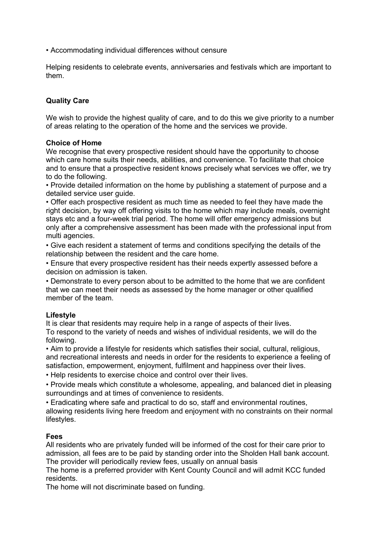• Accommodating individual differences without censure

Helping residents to celebrate events, anniversaries and festivals which are important to them.

## **Quality Care**

We wish to provide the highest quality of care, and to do this we give priority to a number of areas relating to the operation of the home and the services we provide.

## **Choice of Home**

We recognise that every prospective resident should have the opportunity to choose which care home suits their needs, abilities, and convenience. To facilitate that choice and to ensure that a prospective resident knows precisely what services we offer, we try to do the following.

• Provide detailed information on the home by publishing a statement of purpose and a detailed service user guide.

• Offer each prospective resident as much time as needed to feel they have made the right decision, by way off offering visits to the home which may include meals, overnight stays etc and a four-week trial period. The home will offer emergency admissions but only after a comprehensive assessment has been made with the professional input from multi agencies.

• Give each resident a statement of terms and conditions specifying the details of the relationship between the resident and the care home.

• Ensure that every prospective resident has their needs expertly assessed before a decision on admission is taken.

• Demonstrate to every person about to be admitted to the home that we are confident that we can meet their needs as assessed by the home manager or other qualified member of the team.

#### **Lifestyle**

It is clear that residents may require help in a range of aspects of their lives. To respond to the variety of needs and wishes of individual residents, we will do the following.

• Aim to provide a lifestyle for residents which satisfies their social, cultural, religious, and recreational interests and needs in order for the residents to experience a feeling of satisfaction, empowerment, enjoyment, fulfilment and happiness over their lives.

• Help residents to exercise choice and control over their lives.

• Provide meals which constitute a wholesome, appealing, and balanced diet in pleasing surroundings and at times of convenience to residents.

• Eradicating where safe and practical to do so, staff and environmental routines,

allowing residents living here freedom and enjoyment with no constraints on their normal lifestyles.

## **Fees**

All residents who are privately funded will be informed of the cost for their care prior to admission, all fees are to be paid by standing order into the Sholden Hall bank account. The provider will periodically review fees, usually on annual basis

The home is a preferred provider with Kent County Council and will admit KCC funded residents.

The home will not discriminate based on funding.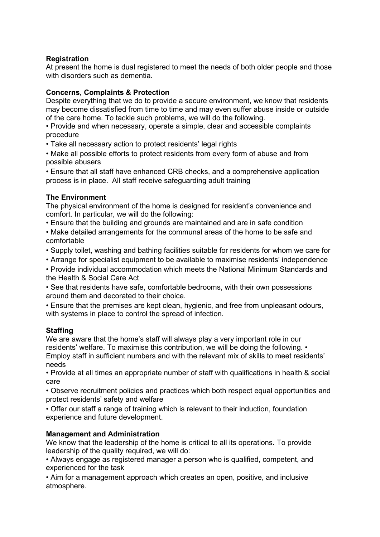## **Registration**

At present the home is dual registered to meet the needs of both older people and those with disorders such as dementia.

## **Concerns, Complaints & Protection**

Despite everything that we do to provide a secure environment, we know that residents may become dissatisfied from time to time and may even suffer abuse inside or outside of the care home. To tackle such problems, we will do the following.

• Provide and when necessary, operate a simple, clear and accessible complaints procedure

• Take all necessary action to protect residents' legal rights

• Make all possible efforts to protect residents from every form of abuse and from possible abusers

• Ensure that all staff have enhanced CRB checks, and a comprehensive application process is in place. All staff receive safeguarding adult training

#### **The Environment**

The physical environment of the home is designed for resident's convenience and comfort. In particular, we will do the following:

• Ensure that the building and grounds are maintained and are in safe condition

• Make detailed arrangements for the communal areas of the home to be safe and comfortable

• Supply toilet, washing and bathing facilities suitable for residents for whom we care for

• Arrange for specialist equipment to be available to maximise residents' independence

• Provide individual accommodation which meets the National Minimum Standards and the Health & Social Care Act

• See that residents have safe, comfortable bedrooms, with their own possessions around them and decorated to their choice.

• Ensure that the premises are kept clean, hygienic, and free from unpleasant odours, with systems in place to control the spread of infection.

## **Staffing**

We are aware that the home's staff will always play a very important role in our residents' welfare. To maximise this contribution, we will be doing the following. • Employ staff in sufficient numbers and with the relevant mix of skills to meet residents' needs

• Provide at all times an appropriate number of staff with qualifications in health & social care

• Observe recruitment policies and practices which both respect equal opportunities and protect residents' safety and welfare

• Offer our staff a range of training which is relevant to their induction, foundation experience and future development.

#### **Management and Administration**

We know that the leadership of the home is critical to all its operations. To provide leadership of the quality required, we will do:

• Always engage as registered manager a person who is qualified, competent, and experienced for the task

• Aim for a management approach which creates an open, positive, and inclusive atmosphere.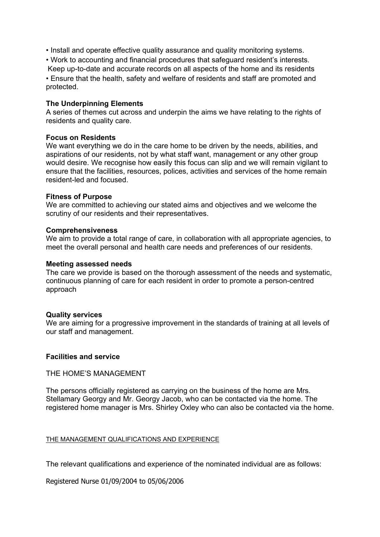- Install and operate effective quality assurance and quality monitoring systems.
- Work to accounting and financial procedures that safeguard resident's interests.
- Keep up-to-date and accurate records on all aspects of the home and its residents • Ensure that the health, safety and welfare of residents and staff are promoted and

#### **The Underpinning Elements**

A series of themes cut across and underpin the aims we have relating to the rights of residents and quality care.

#### **Focus on Residents**

protected.

We want everything we do in the care home to be driven by the needs, abilities, and aspirations of our residents, not by what staff want, management or any other group would desire. We recognise how easily this focus can slip and we will remain vigilant to ensure that the facilities, resources, polices, activities and services of the home remain resident-led and focused.

#### **Fitness of Purpose**

We are committed to achieving our stated aims and objectives and we welcome the scrutiny of our residents and their representatives.

#### **Comprehensiveness**

We aim to provide a total range of care, in collaboration with all appropriate agencies, to meet the overall personal and health care needs and preferences of our residents.

#### **Meeting assessed needs**

The care we provide is based on the thorough assessment of the needs and systematic, continuous planning of care for each resident in order to promote a person-centred approach

#### **Quality services**

We are aiming for a progressive improvement in the standards of training at all levels of our staff and management.

#### **Facilities and service**

#### THE HOME'S MANAGEMENT

The persons officially registered as carrying on the business of the home are Mrs. Stellamary Georgy and Mr. Georgy Jacob, who can be contacted via the home. The registered home manager is Mrs. Shirley Oxley who can also be contacted via the home.

#### THE MANAGEMENT QUALIFICATIONS AND EXPERIENCE

The relevant qualifications and experience of the nominated individual are as follows:

Registered Nurse 01/09/2004 to 05/06/2006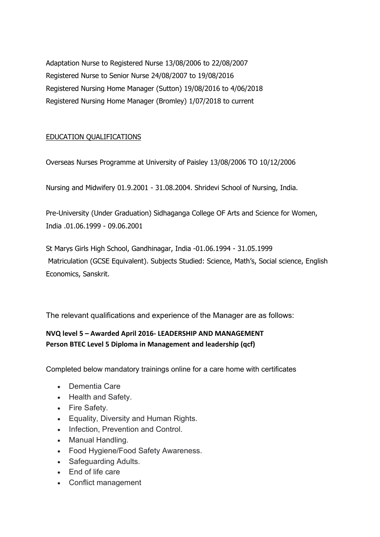Adaptation Nurse to Registered Nurse 13/08/2006 to 22/08/2007 Registered Nurse to Senior Nurse 24/08/2007 to 19/08/2016 Registered Nursing Home Manager (Sutton) 19/08/2016 to 4/06/2018 Registered Nursing Home Manager (Bromley) 1/07/2018 to current

# EDUCATION QUALIFICATIONS

Overseas Nurses Programme at University of Paisley 13/08/2006 TO 10/12/2006

Nursing and Midwifery 01.9.2001 - 31.08.2004. Shridevi School of Nursing, India.

Pre-University (Under Graduation) Sidhaganga College OF Arts and Science for Women, India .01.06.1999 - 09.06.2001

St Marys Girls High School, Gandhinagar, India -01.06.1994 - 31.05.1999 Matriculation (GCSE Equivalent). Subjects Studied: Science, Math's, Social science, English Economics, Sanskrit.

The relevant qualifications and experience of the Manager are as follows:

# **NVQ level 5 – Awarded April 2016- LEADERSHIP AND MANAGEMENT Person BTEC Level 5 Diploma in Management and leadership (qcf)**

Completed below mandatory trainings online for a care home with certificates

- Dementia Care
- Health and Safety.
- Fire Safety.
- Equality, Diversity and Human Rights.
- Infection, Prevention and Control.
- Manual Handling.
- Food Hygiene/Food Safety Awareness.
- Safeguarding Adults.
- End of life care
- Conflict management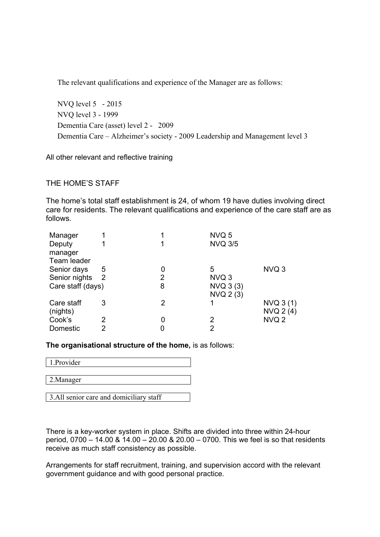The relevant qualifications and experience of the Manager are as follows:

NVQ level 5 - 2015 NVQ level 3 - 1999 Dementia Care (asset) level 2 - 2009 Dementia Care – Alzheimer's society - 2009 Leadership and Management level 3

All other relevant and reflective training

## THE HOME'S STAFF

The home's total staff establishment is 24, of whom 19 have duties involving direct care for residents. The relevant qualifications and experience of the care staff are as follows.

| Manager           |   |   | NVQ 5          |                  |
|-------------------|---|---|----------------|------------------|
| Deputy            |   |   | <b>NVQ 3/5</b> |                  |
| manager           |   |   |                |                  |
| Team leader       |   |   |                |                  |
| Senior days       | 5 | 0 | 5              | NVQ 3            |
| Senior nights 2   |   | 2 | NVQ 3          |                  |
| Care staff (days) |   | 8 | NVQ 3 (3)      |                  |
|                   |   |   | NVQ 2 (3)      |                  |
| Care staff        | 3 | 2 |                | NVO 3(1)         |
| (nights)          |   |   |                | NVQ 2 (4)        |
| Cook's            | 2 | 0 | 2              | NVQ <sub>2</sub> |
| Domestic          | 2 |   | 2              |                  |

**The organisational structure of the home,** is as follows:

| 1.Provider                              |
|-----------------------------------------|
|                                         |
| 2. Manager                              |
|                                         |
| 3.All senior care and domiciliary staff |

There is a key-worker system in place. Shifts are divided into three within 24-hour period, 0700 – 14.00 & 14.00 – 20.00 & 20.00 – 0700. This we feel is so that residents receive as much staff consistency as possible.

Arrangements for staff recruitment, training, and supervision accord with the relevant government guidance and with good personal practice.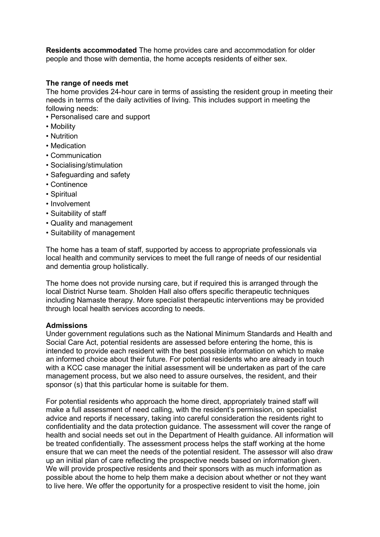**Residents accommodated** The home provides care and accommodation for older people and those with dementia, the home accepts residents of either sex.

#### **The range of needs met**

The home provides 24-hour care in terms of assisting the resident group in meeting their needs in terms of the daily activities of living. This includes support in meeting the following needs:

- Personalised care and support
- Mobility
- Nutrition
- Medication
- Communication
- Socialising/stimulation
- Safeguarding and safety
- Continence
- Spiritual
- Involvement
- Suitability of staff
- Quality and management
- Suitability of management

The home has a team of staff, supported by access to appropriate professionals via local health and community services to meet the full range of needs of our residential and dementia group holistically.

The home does not provide nursing care, but if required this is arranged through the local District Nurse team. Sholden Hall also offers specific therapeutic techniques including Namaste therapy. More specialist therapeutic interventions may be provided through local health services according to needs.

#### **Admissions**

Under government regulations such as the National Minimum Standards and Health and Social Care Act, potential residents are assessed before entering the home, this is intended to provide each resident with the best possible information on which to make an informed choice about their future. For potential residents who are already in touch with a KCC case manager the initial assessment will be undertaken as part of the care management process, but we also need to assure ourselves, the resident, and their sponsor (s) that this particular home is suitable for them.

For potential residents who approach the home direct, appropriately trained staff will make a full assessment of need calling, with the resident's permission, on specialist advice and reports if necessary, taking into careful consideration the residents right to confidentiality and the data protection guidance. The assessment will cover the range of health and social needs set out in the Department of Health guidance. All information will be treated confidentially. The assessment process helps the staff working at the home ensure that we can meet the needs of the potential resident. The assessor will also draw up an initial plan of care reflecting the prospective needs based on information given. We will provide prospective residents and their sponsors with as much information as possible about the home to help them make a decision about whether or not they want to live here. We offer the opportunity for a prospective resident to visit the home, join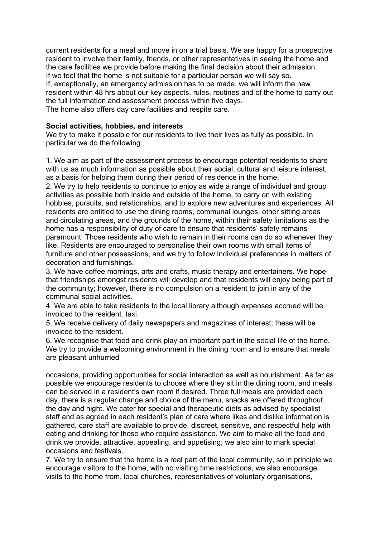current residents for a meal and move in on a trial basis. We are happy for a prospective resident to involve their family, friends, or other representatives in seeing the home and the care facilities we provide before making the final decision about their admission. If we feel that the home is not suitable for a particular person we will say so. If, exceptionally, an emergency admission has to be made, we will inform the new resident within 48 hrs about our key aspects, rules, routines and of the home to carry out the full information and assessment process within five days. The home also offers day care facilities and respite care.

## **Social activities, hobbies, and interests**

We try to make it possible for our residents to live their lives as fully as possible. In particular we do the following.

1. We aim as part of the assessment process to encourage potential residents to share with us as much information as possible about their social, cultural and leisure interest, as a basis for helping them during their period of residence in the home.

2. We try to help residents to continue to enjoy as wide a range of individual and group activities as possible both inside and outside of the home, to carry on with existing hobbies, pursuits, and relationships, and to explore new adventures and experiences. All residents are entitled to use the dining rooms, communal lounges, other sitting areas and circulating areas, and the grounds of the home, within their safety limitations as the home has a responsibility of duty of care to ensure that residents' safety remains paramount. Those residents who wish to remain in their rooms can do so whenever they like. Residents are encouraged to personalise their own rooms with small items of furniture and other possessions, and we try to follow individual preferences in matters of decoration and furnishings.

3. We have coffee mornings, arts and crafts, music therapy and entertainers. We hope that friendships amongst residents will develop and that residents will enjoy being part of the community; however, there is no compulsion on a resident to join in any of the communal social activities.

4. We are able to take residents to the local library although expenses accrued will be invoiced to the resident. taxi.

5. We receive delivery of daily newspapers and magazines of interest; these will be invoiced to the resident.

6. We recognise that food and drink play an important part in the social life of the home. We try to provide a welcoming environment in the dining room and to ensure that meals are pleasant unhurried

occasions, providing opportunities for social interaction as well as nourishment. As far as possible we encourage residents to choose where they sit in the dining room, and meals can be served in a resident's own room if desired. Three full meals are provided each day, there is a regular change and choice of the menu, snacks are offered throughout the day and night. We cater for special and therapeutic diets as advised by specialist staff and as agreed in each resident's plan of care where likes and dislike information is gathered, care staff are available to provide, discreet, sensitive, and respectful help with eating and drinking for those who require assistance. We aim to make all the food and drink we provide, attractive, appealing, and appetising; we also aim to mark special occasions and festivals.

7. We try to ensure that the home is a real part of the local community, so in principle we encourage visitors to the home, with no visiting time restrictions, we also encourage visits to the home from, local churches, representatives of voluntary organisations,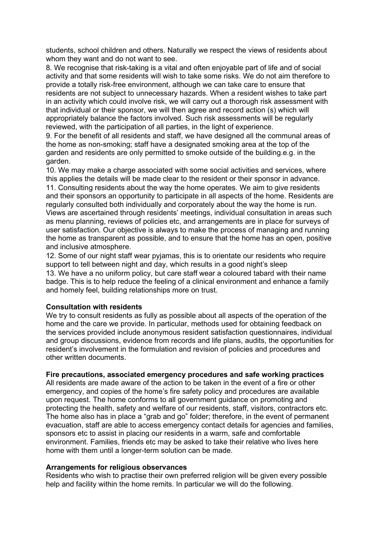students, school children and others. Naturally we respect the views of residents about whom they want and do not want to see.

8. We recognise that risk-taking is a vital and often enjoyable part of life and of social activity and that some residents will wish to take some risks. We do not aim therefore to provide a totally risk-free environment, although we can take care to ensure that residents are not subject to unnecessary hazards. When a resident wishes to take part in an activity which could involve risk, we will carry out a thorough risk assessment with that individual or their sponsor, we will then agree and record action (s) which will appropriately balance the factors involved. Such risk assessments will be regularly reviewed, with the participation of all parties, in the light of experience.

9. For the benefit of all residents and staff, we have designed all the communal areas of the home as non-smoking; staff have a designated smoking area at the top of the garden and residents are only permitted to smoke outside of the building.e.g. in the garden.

10. We may make a charge associated with some social activities and services, where this applies the details will be made clear to the resident or their sponsor in advance. 11. Consulting residents about the way the home operates. We aim to give residents and their sponsors an opportunity to participate in all aspects of the home. Residents are regularly consulted both individually and corporately about the way the home is run. Views are ascertained through residents' meetings, individual consultation in areas such as menu planning, reviews of policies etc, and arrangements are in place for surveys of user satisfaction. Our objective is always to make the process of managing and running the home as transparent as possible, and to ensure that the home has an open, positive and inclusive atmosphere.

12. Some of our night staff wear pyjamas, this is to orientate our residents who require support to tell between night and day, which results in a good night's sleep

13. We have a no uniform policy, but care staff wear a coloured tabard with their name badge. This is to help reduce the feeling of a clinical environment and enhance a family and homely feel, building relationships more on trust.

#### **Consultation with residents**

We try to consult residents as fully as possible about all aspects of the operation of the home and the care we provide. In particular, methods used for obtaining feedback on the services provided include anonymous resident satisfaction questionnaires, individual and group discussions, evidence from records and life plans, audits, the opportunities for resident's involvement in the formulation and revision of policies and procedures and other written documents.

#### **Fire precautions, associated emergency procedures and safe working practices**

All residents are made aware of the action to be taken in the event of a fire or other emergency, and copies of the home's fire safety policy and procedures are available upon request. The home conforms to all government guidance on promoting and protecting the health, safety and welfare of our residents, staff, visitors, contractors etc. The home also has in place a "grab and go" folder; therefore, in the event of permanent evacuation, staff are able to access emergency contact details for agencies and families, sponsors etc to assist in placing our residents in a warm, safe and comfortable environment. Families, friends etc may be asked to take their relative who lives here home with them until a longer-term solution can be made.

#### **Arrangements for religious observances**

Residents who wish to practise their own preferred religion will be given every possible help and facility within the home remits. In particular we will do the following.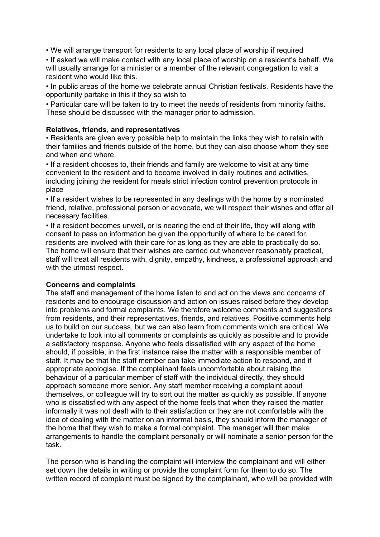• We will arrange transport for residents to any local place of worship if required

• If asked we will make contact with any local place of worship on a resident's behalf. We will usually arrange for a minister or a member of the relevant congregation to visit a resident who would like this.

• In public areas of the home we celebrate annual Christian festivals. Residents have the opportunity partake in this if they so wish to

• Particular care will be taken to try to meet the needs of residents from minority faiths. These should be discussed with the manager prior to admission.

## **Relatives, friends, and representatives**

• Residents are given every possible help to maintain the links they wish to retain with their families and friends outside of the home, but they can also choose whom they see and when and where.

• If a resident chooses to, their friends and family are welcome to visit at any time convenient to the resident and to become involved in daily routines and activities, including joining the resident for meals strict infection control prevention protocols in place

• If a resident wishes to be represented in any dealings with the home by a nominated friend, relative, professional person or advocate, we will respect their wishes and offer all necessary facilities.

• If a resident becomes unwell, or is nearing the end of their life, they will along with consent to pass on information be given the opportunity of where to be cared for, residents are involved with their care for as long as they are able to practically do so. The home will ensure that their wishes are carried out whenever reasonably practical, staff will treat all residents with, dignity, empathy, kindness, a professional approach and with the utmost respect.

#### **Concerns and complaints**

The staff and management of the home listen to and act on the views and concerns of residents and to encourage discussion and action on issues raised before they develop into problems and formal complaints. We therefore welcome comments and suggestions from residents, and their representatives, friends, and relatives. Positive comments help us to build on our success, but we can also learn from comments which are critical. We undertake to look into all comments or complaints as quickly as possible and to provide a satisfactory response. Anyone who feels dissatisfied with any aspect of the home should, if possible, in the first instance raise the matter with a responsible member of staff. It may be that the staff member can take immediate action to respond, and if appropriate apologise. If the complainant feels uncomfortable about raising the behaviour of a particular member of staff with the individual directly, they should approach someone more senior. Any staff member receiving a complaint about themselves, or colleague will try to sort out the matter as quickly as possible. If anyone who is dissatisfied with any aspect of the home feels that when they raised the matter informally it was not dealt with to their satisfaction or they are not comfortable with the idea of dealing with the matter on an informal basis, they should inform the manager of the home that they wish to make a formal complaint. The manager will then make arrangements to handle the complaint personally or will nominate a senior person for the task.

The person who is handling the complaint will interview the complainant and will either set down the details in writing or provide the complaint form for them to do so. The written record of complaint must be signed by the complainant, who will be provided with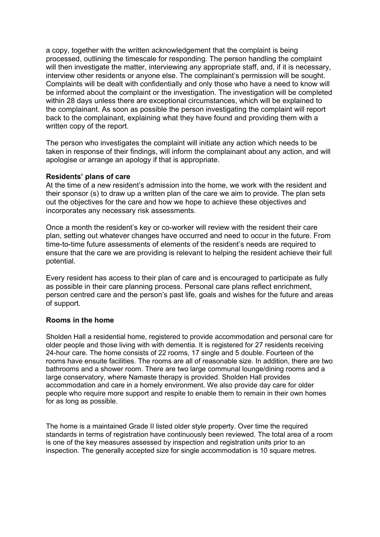a copy, together with the written acknowledgement that the complaint is being processed, outlining the timescale for responding. The person handling the complaint will then investigate the matter, interviewing any appropriate staff, and, if it is necessary, interview other residents or anyone else. The complainant's permission will be sought. Complaints will be dealt with confidentially and only those who have a need to know will be informed about the complaint or the investigation. The investigation will be completed within 28 days unless there are exceptional circumstances, which will be explained to the complainant. As soon as possible the person investigating the complaint will report back to the complainant, explaining what they have found and providing them with a written copy of the report.

The person who investigates the complaint will initiate any action which needs to be taken in response of their findings, will inform the complainant about any action, and will apologise or arrange an apology if that is appropriate.

#### **Residents' plans of care**

At the time of a new resident's admission into the home, we work with the resident and their sponsor (s) to draw up a written plan of the care we aim to provide. The plan sets out the objectives for the care and how we hope to achieve these objectives and incorporates any necessary risk assessments.

Once a month the resident's key or co-worker will review with the resident their care plan, setting out whatever changes have occurred and need to occur in the future. From time-to-time future assessments of elements of the resident's needs are required to ensure that the care we are providing is relevant to helping the resident achieve their full potential.

Every resident has access to their plan of care and is encouraged to participate as fully as possible in their care planning process. Personal care plans reflect enrichment, person centred care and the person's past life, goals and wishes for the future and areas of support.

#### **Rooms in the home**

Sholden Hall a residential home, registered to provide accommodation and personal care for older people and those living with with dementia. It is registered for 27 residents receiving 24-hour care. The home consists of 22 rooms, 17 single and 5 double. Fourteen of the rooms have ensuite facilities. The rooms are all of reasonable size. In addition, there are two bathrooms and a shower room. There are two large communal lounge/dining rooms and a large conservatory, where Namaste therapy is provided. Sholden Hall provides accommodation and care in a homely environment. We also provide day care for older people who require more support and respite to enable them to remain in their own homes for as long as possible.

The home is a maintained Grade II listed older style property. Over time the required standards in terms of registration have continuously been reviewed. The total area of a room is one of the key measures assessed by inspection and registration units prior to an inspection. The generally accepted size for single accommodation is 10 square metres.